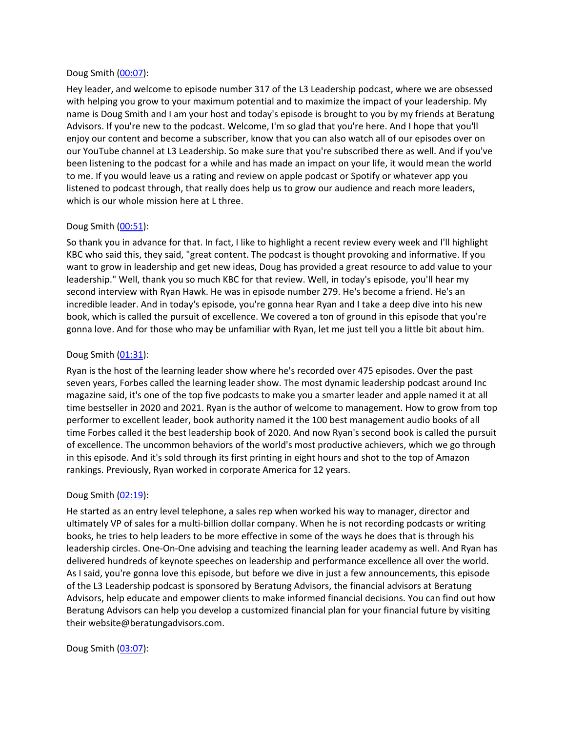## Doug Smith ([00:07\)](https://www.temi.com/editor/t/QpZIoBHMDcAs0PlPb5GKH6L0Z7_Mj2D2ZsVb8f_xrTJFLO3a_Y0_PlBo5X0f-ETFdoRa2SpuMOiteVzfmzqRXL4YSJA?loadFrom=DocumentDeeplink&ts=7.74):

Hey leader, and welcome to episode number 317 of the L3 Leadership podcast, where we are obsessed with helping you grow to your maximum potential and to maximize the impact of your leadership. My name is Doug Smith and I am your host and today's episode is brought to you by my friends at Beratung Advisors. If you're new to the podcast. Welcome, I'm so glad that you're here. And I hope that you'll enjoy our content and become a subscriber, know that you can also watch all of our episodes over on our YouTube channel at L3 Leadership. So make sure that you're subscribed there as well. And if you've been listening to the podcast for a while and has made an impact on your life, it would mean the world to me. If you would leave us a rating and review on apple podcast or Spotify or whatever app you listened to podcast through, that really does help us to grow our audience and reach more leaders, which is our whole mission here at L three.

# Doug Smith ([00:51\)](https://www.temi.com/editor/t/QpZIoBHMDcAs0PlPb5GKH6L0Z7_Mj2D2ZsVb8f_xrTJFLO3a_Y0_PlBo5X0f-ETFdoRa2SpuMOiteVzfmzqRXL4YSJA?loadFrom=DocumentDeeplink&ts=51.04):

So thank you in advance for that. In fact, I like to highlight a recent review every week and I'll highlight KBC who said this, they said, "great content. The podcast is thought provoking and informative. If you want to grow in leadership and get new ideas, Doug has provided a great resource to add value to your leadership." Well, thank you so much KBC for that review. Well, in today's episode, you'll hear my second interview with Ryan Hawk. He was in episode number 279. He's become a friend. He's an incredible leader. And in today's episode, you're gonna hear Ryan and I take a deep dive into his new book, which is called the pursuit of excellence. We covered a ton of ground in this episode that you're gonna love. And for those who may be unfamiliar with Ryan, let me just tell you a little bit about him.

# Doug Smith  $(01:31)$  $(01:31)$ :

Ryan is the host of the learning leader show where he's recorded over 475 episodes. Over the past seven years, Forbes called the learning leader show. The most dynamic leadership podcast around Inc magazine said, it's one of the top five podcasts to make you a smarter leader and apple named it at all time bestseller in 2020 and 2021. Ryan is the author of welcome to management. How to grow from top performer to excellent leader, book authority named it the 100 best management audio books of all time Forbes called it the best leadership book of 2020. And now Ryan's second book is called the pursuit of excellence. The uncommon behaviors of the world's most productive achievers, which we go through in this episode. And it's sold through its first printing in eight hours and shot to the top of Amazon rankings. Previously, Ryan worked in corporate America for 12 years.

# Doug Smith ([02:19\)](https://www.temi.com/editor/t/QpZIoBHMDcAs0PlPb5GKH6L0Z7_Mj2D2ZsVb8f_xrTJFLO3a_Y0_PlBo5X0f-ETFdoRa2SpuMOiteVzfmzqRXL4YSJA?loadFrom=DocumentDeeplink&ts=139.59):

He started as an entry level telephone, a sales rep when worked his way to manager, director and ultimately VP of sales for a multi-billion dollar company. When he is not recording podcasts or writing books, he tries to help leaders to be more effective in some of the ways he does that is through his leadership circles. One-On-One advising and teaching the learning leader academy as well. And Ryan has delivered hundreds of keynote speeches on leadership and performance excellence all over the world. As I said, you're gonna love this episode, but before we dive in just a few announcements, this episode of the L3 Leadership podcast is sponsored by Beratung Advisors, the financial advisors at Beratung Advisors, help educate and empower clients to make informed financial decisions. You can find out how Beratung Advisors can help you develop a customized financial plan for your financial future by visiting their website@beratungadvisors.com.

# Doug Smith ([03:07\)](https://www.temi.com/editor/t/QpZIoBHMDcAs0PlPb5GKH6L0Z7_Mj2D2ZsVb8f_xrTJFLO3a_Y0_PlBo5X0f-ETFdoRa2SpuMOiteVzfmzqRXL4YSJA?loadFrom=DocumentDeeplink&ts=187.06):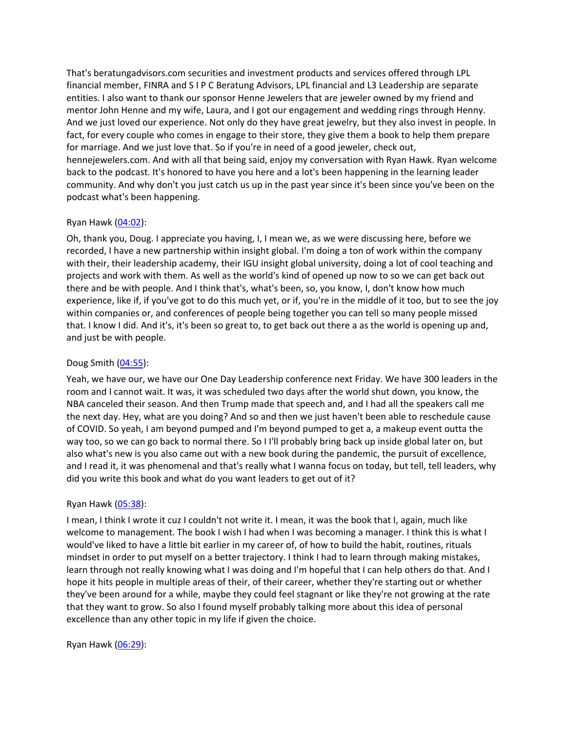That's beratungadvisors.com securities and investment products and services offered through LPL financial member, FINRA and S I P C Beratung Advisors, LPL financial and L3 Leadership are separate entities. I also want to thank our sponsor Henne Jewelers that are jeweler owned by my friend and mentor John Henne and my wife, Laura, and I got our engagement and wedding rings through Henny. And we just loved our experience. Not only do they have great jewelry, but they also invest in people. In fact, for every couple who comes in engage to their store, they give them a book to help them prepare for marriage. And we just love that. So if you're in need of a good jeweler, check out, hennejewelers.com. And with all that being said, enjoy my conversation with Ryan Hawk. Ryan welcome back to the podcast. It's honored to have you here and a lot's been happening in the learning leader community. And why don't you just catch us up in the past year since it's been since you've been on the podcast what's been happening.

# Ryan Hawk  $(04:02)$ :

Oh, thank you, Doug. I appreciate you having, I, I mean we, as we were discussing here, before we recorded, I have a new partnership within insight global. I'm doing a ton of work within the company with their, their leadership academy, their IGU insight global university, doing a lot of cool teaching and projects and work with them. As well as the world's kind of opened up now to so we can get back out there and be with people. And I think that's, what's been, so, you know, I, don't know how much experience, like if, if you've got to do this much yet, or if, you're in the middle of it too, but to see the joy within companies or, and conferences of people being together you can tell so many people missed that. I know I did. And it's, it's been so great to, to get back out there a as the world is opening up and, and just be with people.

## Doug Smith ([04:55\)](https://www.temi.com/editor/t/QpZIoBHMDcAs0PlPb5GKH6L0Z7_Mj2D2ZsVb8f_xrTJFLO3a_Y0_PlBo5X0f-ETFdoRa2SpuMOiteVzfmzqRXL4YSJA?loadFrom=DocumentDeeplink&ts=295.41):

Yeah, we have our, we have our One Day Leadership conference next Friday. We have 300 leaders in the room and I cannot wait. It was, it was scheduled two days after the world shut down, you know, the NBA canceled their season. And then Trump made that speech and, and I had all the speakers call me the next day. Hey, what are you doing? And so and then we just haven't been able to reschedule cause of COVID. So yeah, I am beyond pumped and I'm beyond pumped to get a, a makeup event outta the way too, so we can go back to normal there. So I I'll probably bring back up inside global later on, but also what's new is you also came out with a new book during the pandemic, the pursuit of excellence, and I read it, it was phenomenal and that's really what I wanna focus on today, but tell, tell leaders, why did you write this book and what do you want leaders to get out of it?

# Ryan Hawk [\(05:38\)](https://www.temi.com/editor/t/QpZIoBHMDcAs0PlPb5GKH6L0Z7_Mj2D2ZsVb8f_xrTJFLO3a_Y0_PlBo5X0f-ETFdoRa2SpuMOiteVzfmzqRXL4YSJA?loadFrom=DocumentDeeplink&ts=338.46):

I mean, I think I wrote it cuz I couldn't not write it. I mean, it was the book that I, again, much like welcome to management. The book I wish I had when I was becoming a manager. I think this is what I would've liked to have a little bit earlier in my career of, of how to build the habit, routines, rituals mindset in order to put myself on a better trajectory. I think I had to learn through making mistakes, learn through not really knowing what I was doing and I'm hopeful that I can help others do that. And I hope it hits people in multiple areas of their, of their career, whether they're starting out or whether they've been around for a while, maybe they could feel stagnant or like they're not growing at the rate that they want to grow. So also I found myself probably talking more about this idea of personal excellence than any other topic in my life if given the choice.

Ryan Hawk  $(06:29)$ :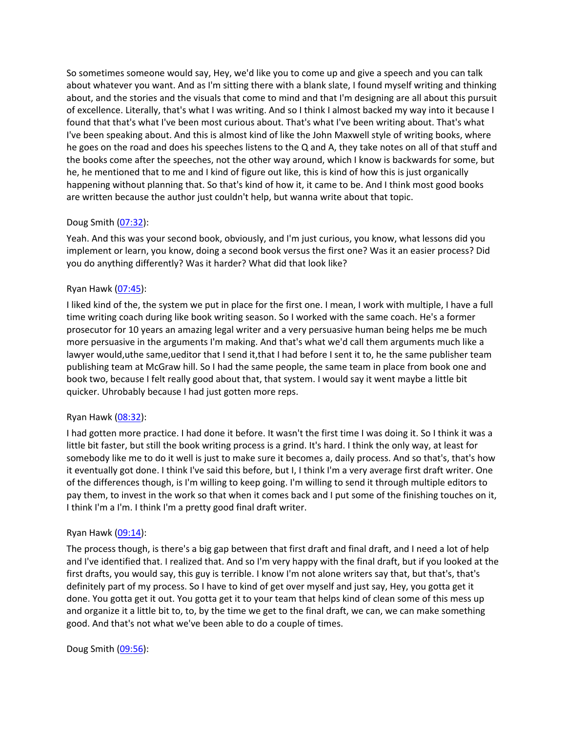So sometimes someone would say, Hey, we'd like you to come up and give a speech and you can talk about whatever you want. And as I'm sitting there with a blank slate, I found myself writing and thinking about, and the stories and the visuals that come to mind and that I'm designing are all about this pursuit of excellence. Literally, that's what I was writing. And so I think I almost backed my way into it because I found that that's what I've been most curious about. That's what I've been writing about. That's what I've been speaking about. And this is almost kind of like the John Maxwell style of writing books, where he goes on the road and does his speeches listens to the Q and A, they take notes on all of that stuff and the books come after the speeches, not the other way around, which I know is backwards for some, but he, he mentioned that to me and I kind of figure out like, this is kind of how this is just organically happening without planning that. So that's kind of how it, it came to be. And I think most good books are written because the author just couldn't help, but wanna write about that topic.

# Doug Smith ([07:32\)](https://www.temi.com/editor/t/QpZIoBHMDcAs0PlPb5GKH6L0Z7_Mj2D2ZsVb8f_xrTJFLO3a_Y0_PlBo5X0f-ETFdoRa2SpuMOiteVzfmzqRXL4YSJA?loadFrom=DocumentDeeplink&ts=452.18):

Yeah. And this was your second book, obviously, and I'm just curious, you know, what lessons did you implement or learn, you know, doing a second book versus the first one? Was it an easier process? Did you do anything differently? Was it harder? What did that look like?

## Ryan Hawk [\(07:45\)](https://www.temi.com/editor/t/QpZIoBHMDcAs0PlPb5GKH6L0Z7_Mj2D2ZsVb8f_xrTJFLO3a_Y0_PlBo5X0f-ETFdoRa2SpuMOiteVzfmzqRXL4YSJA?loadFrom=DocumentDeeplink&ts=465.43):

I liked kind of the, the system we put in place for the first one. I mean, I work with multiple, I have a full time writing coach during like book writing season. So I worked with the same coach. He's a former prosecutor for 10 years an amazing legal writer and a very persuasive human being helps me be much more persuasive in the arguments I'm making. And that's what we'd call them arguments much like a lawyer would,uthe same,ueditor that I send it,that I had before I sent it to, he the same publisher team publishing team at McGraw hill. So I had the same people, the same team in place from book one and book two, because I felt really good about that, that system. I would say it went maybe a little bit quicker. Uhrobably because I had just gotten more reps.

### Ryan Hawk [\(08:32\)](https://www.temi.com/editor/t/QpZIoBHMDcAs0PlPb5GKH6L0Z7_Mj2D2ZsVb8f_xrTJFLO3a_Y0_PlBo5X0f-ETFdoRa2SpuMOiteVzfmzqRXL4YSJA?loadFrom=DocumentDeeplink&ts=512.48):

I had gotten more practice. I had done it before. It wasn't the first time I was doing it. So I think it was a little bit faster, but still the book writing process is a grind. It's hard. I think the only way, at least for somebody like me to do it well is just to make sure it becomes a, daily process. And so that's, that's how it eventually got done. I think I've said this before, but I, I think I'm a very average first draft writer. One of the differences though, is I'm willing to keep going. I'm willing to send it through multiple editors to pay them, to invest in the work so that when it comes back and I put some of the finishing touches on it, I think I'm a I'm. I think I'm a pretty good final draft writer.

### Ryan Hawk  $(09:14)$ :

The process though, is there's a big gap between that first draft and final draft, and I need a lot of help and I've identified that. I realized that. And so I'm very happy with the final draft, but if you looked at the first drafts, you would say, this guy is terrible. I know I'm not alone writers say that, but that's, that's definitely part of my process. So I have to kind of get over myself and just say, Hey, you gotta get it done. You gotta get it out. You gotta get it to your team that helps kind of clean some of this mess up and organize it a little bit to, to, by the time we get to the final draft, we can, we can make something good. And that's not what we've been able to do a couple of times.

Doug Smith ([09:56\)](https://www.temi.com/editor/t/QpZIoBHMDcAs0PlPb5GKH6L0Z7_Mj2D2ZsVb8f_xrTJFLO3a_Y0_PlBo5X0f-ETFdoRa2SpuMOiteVzfmzqRXL4YSJA?loadFrom=DocumentDeeplink&ts=596.24):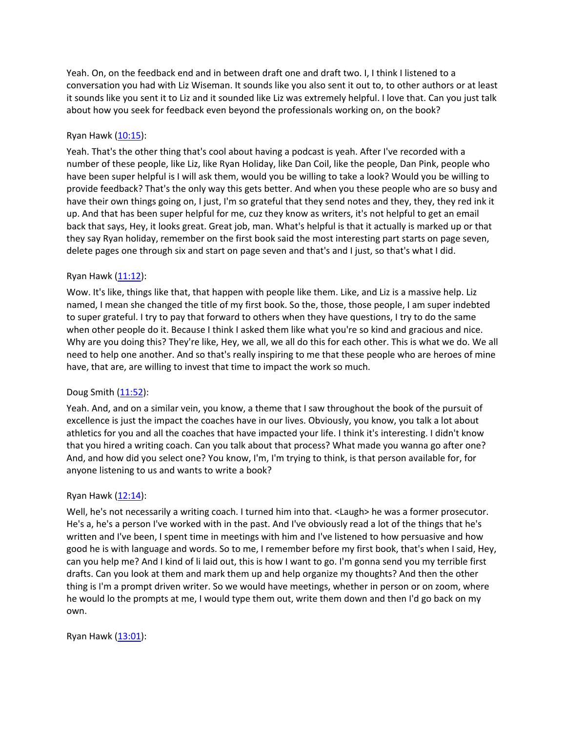Yeah. On, on the feedback end and in between draft one and draft two. I, I think I listened to a conversation you had with Liz Wiseman. It sounds like you also sent it out to, to other authors or at least it sounds like you sent it to Liz and it sounded like Liz was extremely helpful. I love that. Can you just talk about how you seek for feedback even beyond the professionals working on, on the book?

# Ryan Hawk [\(10:15\)](https://www.temi.com/editor/t/QpZIoBHMDcAs0PlPb5GKH6L0Z7_Mj2D2ZsVb8f_xrTJFLO3a_Y0_PlBo5X0f-ETFdoRa2SpuMOiteVzfmzqRXL4YSJA?loadFrom=DocumentDeeplink&ts=615.71):

Yeah. That's the other thing that's cool about having a podcast is yeah. After I've recorded with a number of these people, like Liz, like Ryan Holiday, like Dan Coil, like the people, Dan Pink, people who have been super helpful is I will ask them, would you be willing to take a look? Would you be willing to provide feedback? That's the only way this gets better. And when you these people who are so busy and have their own things going on, I just, I'm so grateful that they send notes and they, they, they red ink it up. And that has been super helpful for me, cuz they know as writers, it's not helpful to get an email back that says, Hey, it looks great. Great job, man. What's helpful is that it actually is marked up or that they say Ryan holiday, remember on the first book said the most interesting part starts on page seven, delete pages one through six and start on page seven and that's and I just, so that's what I did.

# Ryan Hawk [\(11:12\)](https://www.temi.com/editor/t/QpZIoBHMDcAs0PlPb5GKH6L0Z7_Mj2D2ZsVb8f_xrTJFLO3a_Y0_PlBo5X0f-ETFdoRa2SpuMOiteVzfmzqRXL4YSJA?loadFrom=DocumentDeeplink&ts=672.11):

Wow. It's like, things like that, that happen with people like them. Like, and Liz is a massive help. Liz named, I mean she changed the title of my first book. So the, those, those people, I am super indebted to super grateful. I try to pay that forward to others when they have questions, I try to do the same when other people do it. Because I think I asked them like what you're so kind and gracious and nice. Why are you doing this? They're like, Hey, we all, we all do this for each other. This is what we do. We all need to help one another. And so that's really inspiring to me that these people who are heroes of mine have, that are, are willing to invest that time to impact the work so much.

# Doug Smith ([11:52\)](https://www.temi.com/editor/t/QpZIoBHMDcAs0PlPb5GKH6L0Z7_Mj2D2ZsVb8f_xrTJFLO3a_Y0_PlBo5X0f-ETFdoRa2SpuMOiteVzfmzqRXL4YSJA?loadFrom=DocumentDeeplink&ts=712.22):

Yeah. And, and on a similar vein, you know, a theme that I saw throughout the book of the pursuit of excellence is just the impact the coaches have in our lives. Obviously, you know, you talk a lot about athletics for you and all the coaches that have impacted your life. I think it's interesting. I didn't know that you hired a writing coach. Can you talk about that process? What made you wanna go after one? And, and how did you select one? You know, I'm, I'm trying to think, is that person available for, for anyone listening to us and wants to write a book?

# Ryan Hawk  $(12:14)$ :

Well, he's not necessarily a writing coach. I turned him into that. <Laugh> he was a former prosecutor. He's a, he's a person I've worked with in the past. And I've obviously read a lot of the things that he's written and I've been, I spent time in meetings with him and I've listened to how persuasive and how good he is with language and words. So to me, I remember before my first book, that's when I said, Hey, can you help me? And I kind of li laid out, this is how I want to go. I'm gonna send you my terrible first drafts. Can you look at them and mark them up and help organize my thoughts? And then the other thing is I'm a prompt driven writer. So we would have meetings, whether in person or on zoom, where he would lo the prompts at me, I would type them out, write them down and then I'd go back on my own.

Ryan Hawk [\(13:01\)](https://www.temi.com/editor/t/QpZIoBHMDcAs0PlPb5GKH6L0Z7_Mj2D2ZsVb8f_xrTJFLO3a_Y0_PlBo5X0f-ETFdoRa2SpuMOiteVzfmzqRXL4YSJA?loadFrom=DocumentDeeplink&ts=781.95):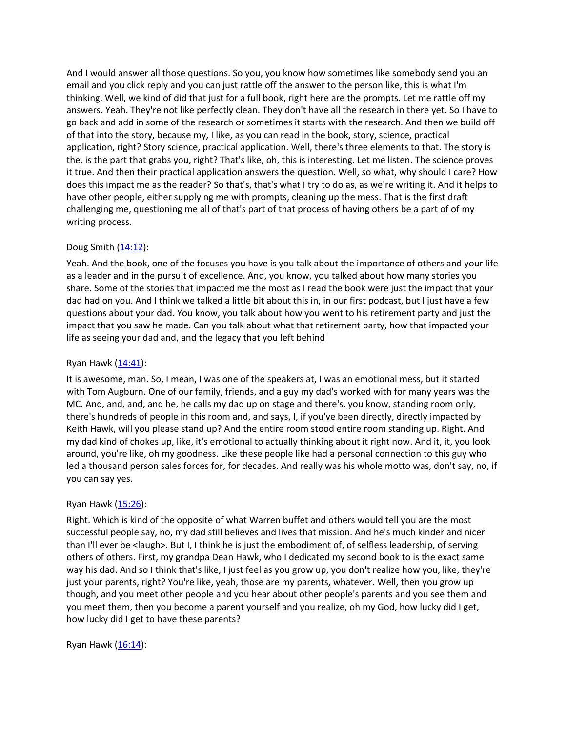And I would answer all those questions. So you, you know how sometimes like somebody send you an email and you click reply and you can just rattle off the answer to the person like, this is what I'm thinking. Well, we kind of did that just for a full book, right here are the prompts. Let me rattle off my answers. Yeah. They're not like perfectly clean. They don't have all the research in there yet. So I have to go back and add in some of the research or sometimes it starts with the research. And then we build off of that into the story, because my, I like, as you can read in the book, story, science, practical application, right? Story science, practical application. Well, there's three elements to that. The story is the, is the part that grabs you, right? That's like, oh, this is interesting. Let me listen. The science proves it true. And then their practical application answers the question. Well, so what, why should I care? How does this impact me as the reader? So that's, that's what I try to do as, as we're writing it. And it helps to have other people, either supplying me with prompts, cleaning up the mess. That is the first draft challenging me, questioning me all of that's part of that process of having others be a part of of my writing process.

# Doug Smith ([14:12\)](https://www.temi.com/editor/t/QpZIoBHMDcAs0PlPb5GKH6L0Z7_Mj2D2ZsVb8f_xrTJFLO3a_Y0_PlBo5X0f-ETFdoRa2SpuMOiteVzfmzqRXL4YSJA?loadFrom=DocumentDeeplink&ts=852.6):

Yeah. And the book, one of the focuses you have is you talk about the importance of others and your life as a leader and in the pursuit of excellence. And, you know, you talked about how many stories you share. Some of the stories that impacted me the most as I read the book were just the impact that your dad had on you. And I think we talked a little bit about this in, in our first podcast, but I just have a few questions about your dad. You know, you talk about how you went to his retirement party and just the impact that you saw he made. Can you talk about what that retirement party, how that impacted your life as seeing your dad and, and the legacy that you left behind

# Ryan Hawk [\(14:41\)](https://www.temi.com/editor/t/QpZIoBHMDcAs0PlPb5GKH6L0Z7_Mj2D2ZsVb8f_xrTJFLO3a_Y0_PlBo5X0f-ETFdoRa2SpuMOiteVzfmzqRXL4YSJA?loadFrom=DocumentDeeplink&ts=881.9):

It is awesome, man. So, I mean, I was one of the speakers at, I was an emotional mess, but it started with Tom Augburn. One of our family, friends, and a guy my dad's worked with for many years was the MC. And, and, and, and he, he calls my dad up on stage and there's, you know, standing room only, there's hundreds of people in this room and, and says, I, if you've been directly, directly impacted by Keith Hawk, will you please stand up? And the entire room stood entire room standing up. Right. And my dad kind of chokes up, like, it's emotional to actually thinking about it right now. And it, it, you look around, you're like, oh my goodness. Like these people like had a personal connection to this guy who led a thousand person sales forces for, for decades. And really was his whole motto was, don't say, no, if you can say yes.

### Ryan Hawk [\(15:26\)](https://www.temi.com/editor/t/QpZIoBHMDcAs0PlPb5GKH6L0Z7_Mj2D2ZsVb8f_xrTJFLO3a_Y0_PlBo5X0f-ETFdoRa2SpuMOiteVzfmzqRXL4YSJA?loadFrom=DocumentDeeplink&ts=926.91):

Right. Which is kind of the opposite of what Warren buffet and others would tell you are the most successful people say, no, my dad still believes and lives that mission. And he's much kinder and nicer than I'll ever be <laugh>. But I, I think he is just the embodiment of, of selfless leadership, of serving others of others. First, my grandpa Dean Hawk, who I dedicated my second book to is the exact same way his dad. And so I think that's like, I just feel as you grow up, you don't realize how you, like, they're just your parents, right? You're like, yeah, those are my parents, whatever. Well, then you grow up though, and you meet other people and you hear about other people's parents and you see them and you meet them, then you become a parent yourself and you realize, oh my God, how lucky did I get, how lucky did I get to have these parents?

Ryan Hawk  $(16:14)$ :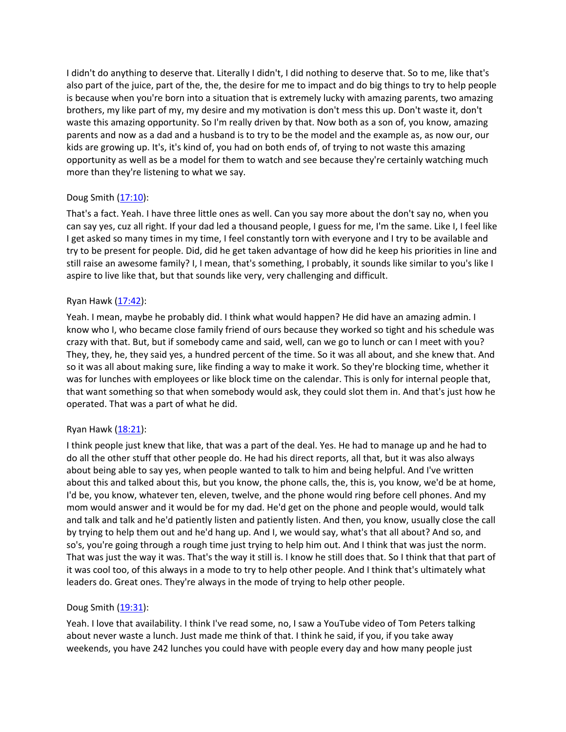I didn't do anything to deserve that. Literally I didn't, I did nothing to deserve that. So to me, like that's also part of the juice, part of the, the, the desire for me to impact and do big things to try to help people is because when you're born into a situation that is extremely lucky with amazing parents, two amazing brothers, my like part of my, my desire and my motivation is don't mess this up. Don't waste it, don't waste this amazing opportunity. So I'm really driven by that. Now both as a son of, you know, amazing parents and now as a dad and a husband is to try to be the model and the example as, as now our, our kids are growing up. It's, it's kind of, you had on both ends of, of trying to not waste this amazing opportunity as well as be a model for them to watch and see because they're certainly watching much more than they're listening to what we say.

# Doug Smith ([17:10\)](https://www.temi.com/editor/t/QpZIoBHMDcAs0PlPb5GKH6L0Z7_Mj2D2ZsVb8f_xrTJFLO3a_Y0_PlBo5X0f-ETFdoRa2SpuMOiteVzfmzqRXL4YSJA?loadFrom=DocumentDeeplink&ts=1030.85):

That's a fact. Yeah. I have three little ones as well. Can you say more about the don't say no, when you can say yes, cuz all right. If your dad led a thousand people, I guess for me, I'm the same. Like I, I feel like I get asked so many times in my time, I feel constantly torn with everyone and I try to be available and try to be present for people. Did, did he get taken advantage of how did he keep his priorities in line and still raise an awesome family? I, I mean, that's something, I probably, it sounds like similar to you's like I aspire to live like that, but that sounds like very, very challenging and difficult.

# Ryan Hawk [\(17:42\)](https://www.temi.com/editor/t/QpZIoBHMDcAs0PlPb5GKH6L0Z7_Mj2D2ZsVb8f_xrTJFLO3a_Y0_PlBo5X0f-ETFdoRa2SpuMOiteVzfmzqRXL4YSJA?loadFrom=DocumentDeeplink&ts=1062.46):

Yeah. I mean, maybe he probably did. I think what would happen? He did have an amazing admin. I know who I, who became close family friend of ours because they worked so tight and his schedule was crazy with that. But, but if somebody came and said, well, can we go to lunch or can I meet with you? They, they, he, they said yes, a hundred percent of the time. So it was all about, and she knew that. And so it was all about making sure, like finding a way to make it work. So they're blocking time, whether it was for lunches with employees or like block time on the calendar. This is only for internal people that, that want something so that when somebody would ask, they could slot them in. And that's just how he operated. That was a part of what he did.

# Ryan Hawk [\(18:21\)](https://www.temi.com/editor/t/QpZIoBHMDcAs0PlPb5GKH6L0Z7_Mj2D2ZsVb8f_xrTJFLO3a_Y0_PlBo5X0f-ETFdoRa2SpuMOiteVzfmzqRXL4YSJA?loadFrom=DocumentDeeplink&ts=1101.03):

I think people just knew that like, that was a part of the deal. Yes. He had to manage up and he had to do all the other stuff that other people do. He had his direct reports, all that, but it was also always about being able to say yes, when people wanted to talk to him and being helpful. And I've written about this and talked about this, but you know, the phone calls, the, this is, you know, we'd be at home, I'd be, you know, whatever ten, eleven, twelve, and the phone would ring before cell phones. And my mom would answer and it would be for my dad. He'd get on the phone and people would, would talk and talk and talk and he'd patiently listen and patiently listen. And then, you know, usually close the call by trying to help them out and he'd hang up. And I, we would say, what's that all about? And so, and so's, you're going through a rough time just trying to help him out. And I think that was just the norm. That was just the way it was. That's the way it still is. I know he still does that. So I think that that part of it was cool too, of this always in a mode to try to help other people. And I think that's ultimately what leaders do. Great ones. They're always in the mode of trying to help other people.

# Doug Smith ([19:31\)](https://www.temi.com/editor/t/QpZIoBHMDcAs0PlPb5GKH6L0Z7_Mj2D2ZsVb8f_xrTJFLO3a_Y0_PlBo5X0f-ETFdoRa2SpuMOiteVzfmzqRXL4YSJA?loadFrom=DocumentDeeplink&ts=1171.14):

Yeah. I love that availability. I think I've read some, no, I saw a YouTube video of Tom Peters talking about never waste a lunch. Just made me think of that. I think he said, if you, if you take away weekends, you have 242 lunches you could have with people every day and how many people just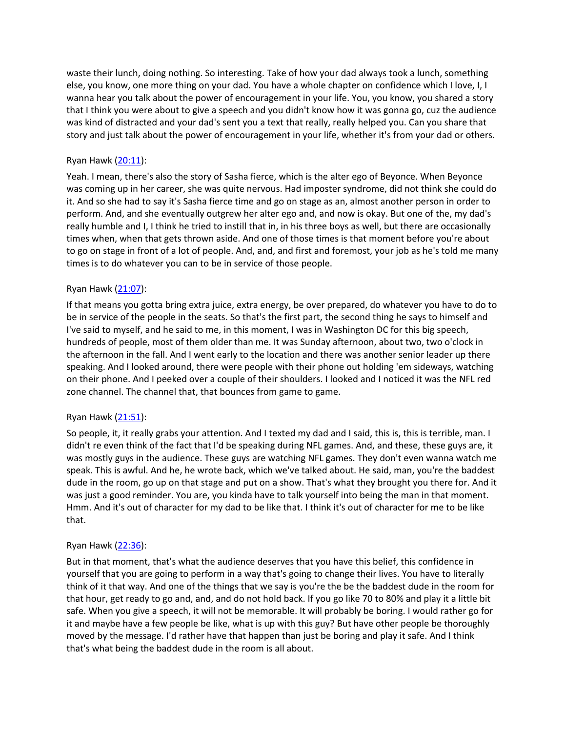waste their lunch, doing nothing. So interesting. Take of how your dad always took a lunch, something else, you know, one more thing on your dad. You have a whole chapter on confidence which I love, I, I wanna hear you talk about the power of encouragement in your life. You, you know, you shared a story that I think you were about to give a speech and you didn't know how it was gonna go, cuz the audience was kind of distracted and your dad's sent you a text that really, really helped you. Can you share that story and just talk about the power of encouragement in your life, whether it's from your dad or others.

## Ryan Hawk [\(20:11\)](https://www.temi.com/editor/t/QpZIoBHMDcAs0PlPb5GKH6L0Z7_Mj2D2ZsVb8f_xrTJFLO3a_Y0_PlBo5X0f-ETFdoRa2SpuMOiteVzfmzqRXL4YSJA?loadFrom=DocumentDeeplink&ts=1211.92):

Yeah. I mean, there's also the story of Sasha fierce, which is the alter ego of Beyonce. When Beyonce was coming up in her career, she was quite nervous. Had imposter syndrome, did not think she could do it. And so she had to say it's Sasha fierce time and go on stage as an, almost another person in order to perform. And, and she eventually outgrew her alter ego and, and now is okay. But one of the, my dad's really humble and I, I think he tried to instill that in, in his three boys as well, but there are occasionally times when, when that gets thrown aside. And one of those times is that moment before you're about to go on stage in front of a lot of people. And, and, and first and foremost, your job as he's told me many times is to do whatever you can to be in service of those people.

## Ryan Hawk [\(21:07\)](https://www.temi.com/editor/t/QpZIoBHMDcAs0PlPb5GKH6L0Z7_Mj2D2ZsVb8f_xrTJFLO3a_Y0_PlBo5X0f-ETFdoRa2SpuMOiteVzfmzqRXL4YSJA?loadFrom=DocumentDeeplink&ts=1267.93):

If that means you gotta bring extra juice, extra energy, be over prepared, do whatever you have to do to be in service of the people in the seats. So that's the first part, the second thing he says to himself and I've said to myself, and he said to me, in this moment, I was in Washington DC for this big speech, hundreds of people, most of them older than me. It was Sunday afternoon, about two, two o'clock in the afternoon in the fall. And I went early to the location and there was another senior leader up there speaking. And I looked around, there were people with their phone out holding 'em sideways, watching on their phone. And I peeked over a couple of their shoulders. I looked and I noticed it was the NFL red zone channel. The channel that, that bounces from game to game.

### Ryan Hawk [\(21:51\)](https://www.temi.com/editor/t/QpZIoBHMDcAs0PlPb5GKH6L0Z7_Mj2D2ZsVb8f_xrTJFLO3a_Y0_PlBo5X0f-ETFdoRa2SpuMOiteVzfmzqRXL4YSJA?loadFrom=DocumentDeeplink&ts=1311.59):

So people, it, it really grabs your attention. And I texted my dad and I said, this is, this is terrible, man. I didn't re even think of the fact that I'd be speaking during NFL games. And, and these, these guys are, it was mostly guys in the audience. These guys are watching NFL games. They don't even wanna watch me speak. This is awful. And he, he wrote back, which we've talked about. He said, man, you're the baddest dude in the room, go up on that stage and put on a show. That's what they brought you there for. And it was just a good reminder. You are, you kinda have to talk yourself into being the man in that moment. Hmm. And it's out of character for my dad to be like that. I think it's out of character for me to be like that.

### Ryan Hawk [\(22:36\)](https://www.temi.com/editor/t/QpZIoBHMDcAs0PlPb5GKH6L0Z7_Mj2D2ZsVb8f_xrTJFLO3a_Y0_PlBo5X0f-ETFdoRa2SpuMOiteVzfmzqRXL4YSJA?loadFrom=DocumentDeeplink&ts=1356.13):

But in that moment, that's what the audience deserves that you have this belief, this confidence in yourself that you are going to perform in a way that's going to change their lives. You have to literally think of it that way. And one of the things that we say is you're the be the baddest dude in the room for that hour, get ready to go and, and, and do not hold back. If you go like 70 to 80% and play it a little bit safe. When you give a speech, it will not be memorable. It will probably be boring. I would rather go for it and maybe have a few people be like, what is up with this guy? But have other people be thoroughly moved by the message. I'd rather have that happen than just be boring and play it safe. And I think that's what being the baddest dude in the room is all about.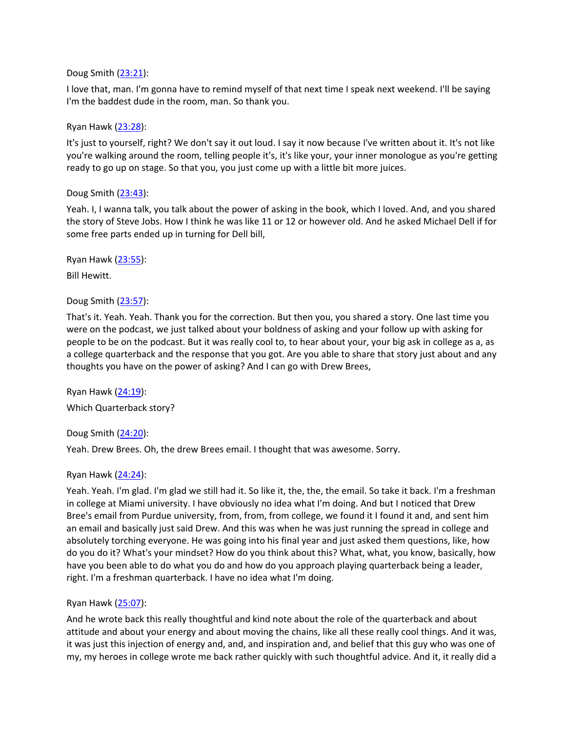## Doug Smith ([23:21\)](https://www.temi.com/editor/t/QpZIoBHMDcAs0PlPb5GKH6L0Z7_Mj2D2ZsVb8f_xrTJFLO3a_Y0_PlBo5X0f-ETFdoRa2SpuMOiteVzfmzqRXL4YSJA?loadFrom=DocumentDeeplink&ts=1401.64):

I love that, man. I'm gonna have to remind myself of that next time I speak next weekend. I'll be saying I'm the baddest dude in the room, man. So thank you.

## Ryan Hawk [\(23:28\)](https://www.temi.com/editor/t/QpZIoBHMDcAs0PlPb5GKH6L0Z7_Mj2D2ZsVb8f_xrTJFLO3a_Y0_PlBo5X0f-ETFdoRa2SpuMOiteVzfmzqRXL4YSJA?loadFrom=DocumentDeeplink&ts=1408.43):

It's just to yourself, right? We don't say it out loud. I say it now because I've written about it. It's not like you're walking around the room, telling people it's, it's like your, your inner monologue as you're getting ready to go up on stage. So that you, you just come up with a little bit more juices.

## Doug Smith ([23:43\)](https://www.temi.com/editor/t/QpZIoBHMDcAs0PlPb5GKH6L0Z7_Mj2D2ZsVb8f_xrTJFLO3a_Y0_PlBo5X0f-ETFdoRa2SpuMOiteVzfmzqRXL4YSJA?loadFrom=DocumentDeeplink&ts=1423.859):

Yeah. I, I wanna talk, you talk about the power of asking in the book, which I loved. And, and you shared the story of Steve Jobs. How I think he was like 11 or 12 or however old. And he asked Michael Dell if for some free parts ended up in turning for Dell bill,

Ryan Hawk [\(23:55\)](https://www.temi.com/editor/t/QpZIoBHMDcAs0PlPb5GKH6L0Z7_Mj2D2ZsVb8f_xrTJFLO3a_Y0_PlBo5X0f-ETFdoRa2SpuMOiteVzfmzqRXL4YSJA?loadFrom=DocumentDeeplink&ts=1435.71):

Bill Hewitt.

## Doug Smith ([23:57\)](https://www.temi.com/editor/t/QpZIoBHMDcAs0PlPb5GKH6L0Z7_Mj2D2ZsVb8f_xrTJFLO3a_Y0_PlBo5X0f-ETFdoRa2SpuMOiteVzfmzqRXL4YSJA?loadFrom=DocumentDeeplink&ts=1437.02):

That's it. Yeah. Yeah. Thank you for the correction. But then you, you shared a story. One last time you were on the podcast, we just talked about your boldness of asking and your follow up with asking for people to be on the podcast. But it was really cool to, to hear about your, your big ask in college as a, as a college quarterback and the response that you got. Are you able to share that story just about and any thoughts you have on the power of asking? And I can go with Drew Brees,

Ryan Hawk [\(24:19\)](https://www.temi.com/editor/t/QpZIoBHMDcAs0PlPb5GKH6L0Z7_Mj2D2ZsVb8f_xrTJFLO3a_Y0_PlBo5X0f-ETFdoRa2SpuMOiteVzfmzqRXL4YSJA?loadFrom=DocumentDeeplink&ts=1459.7): Which Quarterback story?

# Doug Smith ([24:20\)](https://www.temi.com/editor/t/QpZIoBHMDcAs0PlPb5GKH6L0Z7_Mj2D2ZsVb8f_xrTJFLO3a_Y0_PlBo5X0f-ETFdoRa2SpuMOiteVzfmzqRXL4YSJA?loadFrom=DocumentDeeplink&ts=1460.95):

Yeah. Drew Brees. Oh, the drew Brees email. I thought that was awesome. Sorry.

# Ryan Hawk [\(24:24\)](https://www.temi.com/editor/t/QpZIoBHMDcAs0PlPb5GKH6L0Z7_Mj2D2ZsVb8f_xrTJFLO3a_Y0_PlBo5X0f-ETFdoRa2SpuMOiteVzfmzqRXL4YSJA?loadFrom=DocumentDeeplink&ts=1464.29):

Yeah. Yeah. I'm glad. I'm glad we still had it. So like it, the, the, the email. So take it back. I'm a freshman in college at Miami university. I have obviously no idea what I'm doing. And but I noticed that Drew Bree's email from Purdue university, from, from, from college, we found it I found it and, and sent him an email and basically just said Drew. And this was when he was just running the spread in college and absolutely torching everyone. He was going into his final year and just asked them questions, like, how do you do it? What's your mindset? How do you think about this? What, what, you know, basically, how have you been able to do what you do and how do you approach playing quarterback being a leader, right. I'm a freshman quarterback. I have no idea what I'm doing.

### Ryan Hawk [\(25:07\)](https://www.temi.com/editor/t/QpZIoBHMDcAs0PlPb5GKH6L0Z7_Mj2D2ZsVb8f_xrTJFLO3a_Y0_PlBo5X0f-ETFdoRa2SpuMOiteVzfmzqRXL4YSJA?loadFrom=DocumentDeeplink&ts=1507.859):

And he wrote back this really thoughtful and kind note about the role of the quarterback and about attitude and about your energy and about moving the chains, like all these really cool things. And it was, it was just this injection of energy and, and, and inspiration and, and belief that this guy who was one of my, my heroes in college wrote me back rather quickly with such thoughtful advice. And it, it really did a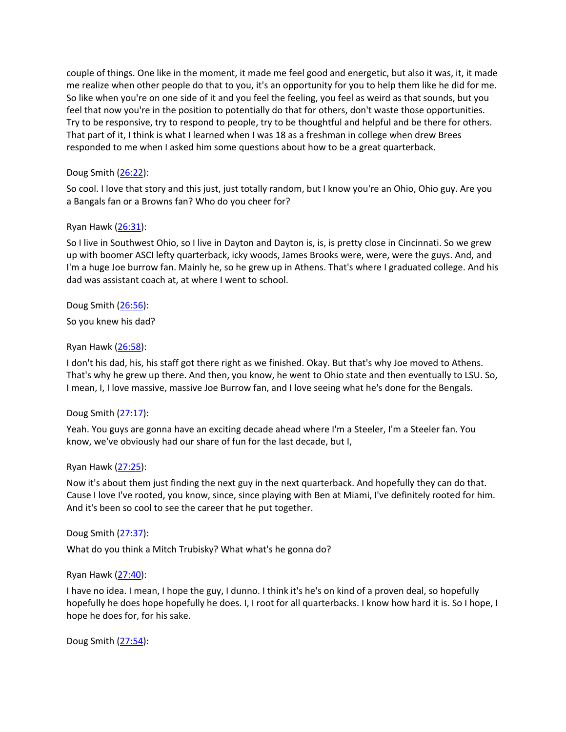couple of things. One like in the moment, it made me feel good and energetic, but also it was, it, it made me realize when other people do that to you, it's an opportunity for you to help them like he did for me. So like when you're on one side of it and you feel the feeling, you feel as weird as that sounds, but you feel that now you're in the position to potentially do that for others, don't waste those opportunities. Try to be responsive, try to respond to people, try to be thoughtful and helpful and be there for others. That part of it, I think is what I learned when I was 18 as a freshman in college when drew Brees responded to me when I asked him some questions about how to be a great quarterback.

# Doug Smith ([26:22\)](https://www.temi.com/editor/t/QpZIoBHMDcAs0PlPb5GKH6L0Z7_Mj2D2ZsVb8f_xrTJFLO3a_Y0_PlBo5X0f-ETFdoRa2SpuMOiteVzfmzqRXL4YSJA?loadFrom=DocumentDeeplink&ts=1582.3):

So cool. I love that story and this just, just totally random, but I know you're an Ohio, Ohio guy. Are you a Bangals fan or a Browns fan? Who do you cheer for?

# Ryan Hawk [\(26:31\)](https://www.temi.com/editor/t/QpZIoBHMDcAs0PlPb5GKH6L0Z7_Mj2D2ZsVb8f_xrTJFLO3a_Y0_PlBo5X0f-ETFdoRa2SpuMOiteVzfmzqRXL4YSJA?loadFrom=DocumentDeeplink&ts=1591):

So I live in Southwest Ohio, so I live in Dayton and Dayton is, is, is pretty close in Cincinnati. So we grew up with boomer ASCI lefty quarterback, icky woods, James Brooks were, were, were the guys. And, and I'm a huge Joe burrow fan. Mainly he, so he grew up in Athens. That's where I graduated college. And his dad was assistant coach at, at where I went to school.

# Doug Smith ([26:56\)](https://www.temi.com/editor/t/QpZIoBHMDcAs0PlPb5GKH6L0Z7_Mj2D2ZsVb8f_xrTJFLO3a_Y0_PlBo5X0f-ETFdoRa2SpuMOiteVzfmzqRXL4YSJA?loadFrom=DocumentDeeplink&ts=1616.4):

So you knew his dad?

## Ryan Hawk [\(26:58\)](https://www.temi.com/editor/t/QpZIoBHMDcAs0PlPb5GKH6L0Z7_Mj2D2ZsVb8f_xrTJFLO3a_Y0_PlBo5X0f-ETFdoRa2SpuMOiteVzfmzqRXL4YSJA?loadFrom=DocumentDeeplink&ts=1618.119):

I don't his dad, his, his staff got there right as we finished. Okay. But that's why Joe moved to Athens. That's why he grew up there. And then, you know, he went to Ohio state and then eventually to LSU. So, I mean, I, I love massive, massive Joe Burrow fan, and I love seeing what he's done for the Bengals.

# Doug Smith ([27:17\)](https://www.temi.com/editor/t/QpZIoBHMDcAs0PlPb5GKH6L0Z7_Mj2D2ZsVb8f_xrTJFLO3a_Y0_PlBo5X0f-ETFdoRa2SpuMOiteVzfmzqRXL4YSJA?loadFrom=DocumentDeeplink&ts=1637.26):

Yeah. You guys are gonna have an exciting decade ahead where I'm a Steeler, I'm a Steeler fan. You know, we've obviously had our share of fun for the last decade, but I,

### Ryan Hawk [\(27:25\)](https://www.temi.com/editor/t/QpZIoBHMDcAs0PlPb5GKH6L0Z7_Mj2D2ZsVb8f_xrTJFLO3a_Y0_PlBo5X0f-ETFdoRa2SpuMOiteVzfmzqRXL4YSJA?loadFrom=DocumentDeeplink&ts=1645.04):

Now it's about them just finding the next guy in the next quarterback. And hopefully they can do that. Cause I love I've rooted, you know, since, since playing with Ben at Miami, I've definitely rooted for him. And it's been so cool to see the career that he put together.

### Doug Smith ([27:37\)](https://www.temi.com/editor/t/QpZIoBHMDcAs0PlPb5GKH6L0Z7_Mj2D2ZsVb8f_xrTJFLO3a_Y0_PlBo5X0f-ETFdoRa2SpuMOiteVzfmzqRXL4YSJA?loadFrom=DocumentDeeplink&ts=1657.25):

What do you think a Mitch Trubisky? What what's he gonna do?

### Ryan Hawk [\(27:40\)](https://www.temi.com/editor/t/QpZIoBHMDcAs0PlPb5GKH6L0Z7_Mj2D2ZsVb8f_xrTJFLO3a_Y0_PlBo5X0f-ETFdoRa2SpuMOiteVzfmzqRXL4YSJA?loadFrom=DocumentDeeplink&ts=1660.69):

I have no idea. I mean, I hope the guy, I dunno. I think it's he's on kind of a proven deal, so hopefully hopefully he does hope hopefully he does. I, I root for all quarterbacks. I know how hard it is. So I hope, I hope he does for, for his sake.

Doug Smith ([27:54\)](https://www.temi.com/editor/t/QpZIoBHMDcAs0PlPb5GKH6L0Z7_Mj2D2ZsVb8f_xrTJFLO3a_Y0_PlBo5X0f-ETFdoRa2SpuMOiteVzfmzqRXL4YSJA?loadFrom=DocumentDeeplink&ts=1674.48):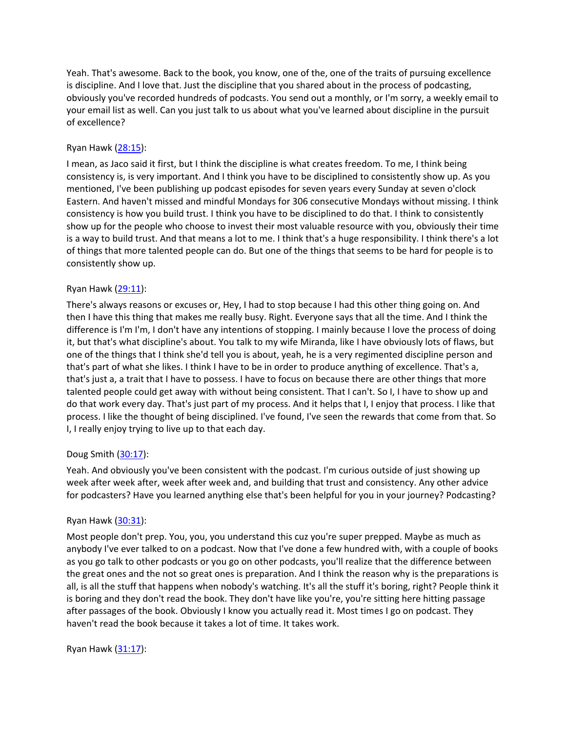Yeah. That's awesome. Back to the book, you know, one of the, one of the traits of pursuing excellence is discipline. And I love that. Just the discipline that you shared about in the process of podcasting, obviously you've recorded hundreds of podcasts. You send out a monthly, or I'm sorry, a weekly email to your email list as well. Can you just talk to us about what you've learned about discipline in the pursuit of excellence?

# Ryan Hawk [\(28:15\)](https://www.temi.com/editor/t/QpZIoBHMDcAs0PlPb5GKH6L0Z7_Mj2D2ZsVb8f_xrTJFLO3a_Y0_PlBo5X0f-ETFdoRa2SpuMOiteVzfmzqRXL4YSJA?loadFrom=DocumentDeeplink&ts=1695.51):

I mean, as Jaco said it first, but I think the discipline is what creates freedom. To me, I think being consistency is, is very important. And I think you have to be disciplined to consistently show up. As you mentioned, I've been publishing up podcast episodes for seven years every Sunday at seven o'clock Eastern. And haven't missed and mindful Mondays for 306 consecutive Mondays without missing. I think consistency is how you build trust. I think you have to be disciplined to do that. I think to consistently show up for the people who choose to invest their most valuable resource with you, obviously their time is a way to build trust. And that means a lot to me. I think that's a huge responsibility. I think there's a lot of things that more talented people can do. But one of the things that seems to be hard for people is to consistently show up.

# Ryan Hawk [\(29:11\)](https://www.temi.com/editor/t/QpZIoBHMDcAs0PlPb5GKH6L0Z7_Mj2D2ZsVb8f_xrTJFLO3a_Y0_PlBo5X0f-ETFdoRa2SpuMOiteVzfmzqRXL4YSJA?loadFrom=DocumentDeeplink&ts=1751.18):

There's always reasons or excuses or, Hey, I had to stop because I had this other thing going on. And then I have this thing that makes me really busy. Right. Everyone says that all the time. And I think the difference is I'm I'm, I don't have any intentions of stopping. I mainly because I love the process of doing it, but that's what discipline's about. You talk to my wife Miranda, like I have obviously lots of flaws, but one of the things that I think she'd tell you is about, yeah, he is a very regimented discipline person and that's part of what she likes. I think I have to be in order to produce anything of excellence. That's a, that's just a, a trait that I have to possess. I have to focus on because there are other things that more talented people could get away with without being consistent. That I can't. So I, I have to show up and do that work every day. That's just part of my process. And it helps that I, I enjoy that process. I like that process. I like the thought of being disciplined. I've found, I've seen the rewards that come from that. So I, I really enjoy trying to live up to that each day.

# Doug Smith ([30:17\)](https://www.temi.com/editor/t/QpZIoBHMDcAs0PlPb5GKH6L0Z7_Mj2D2ZsVb8f_xrTJFLO3a_Y0_PlBo5X0f-ETFdoRa2SpuMOiteVzfmzqRXL4YSJA?loadFrom=DocumentDeeplink&ts=1817.46):

Yeah. And obviously you've been consistent with the podcast. I'm curious outside of just showing up week after week after, week after week and, and building that trust and consistency. Any other advice for podcasters? Have you learned anything else that's been helpful for you in your journey? Podcasting?

# Ryan Hawk [\(30:31\)](https://www.temi.com/editor/t/QpZIoBHMDcAs0PlPb5GKH6L0Z7_Mj2D2ZsVb8f_xrTJFLO3a_Y0_PlBo5X0f-ETFdoRa2SpuMOiteVzfmzqRXL4YSJA?loadFrom=DocumentDeeplink&ts=1831.41):

Most people don't prep. You, you, you understand this cuz you're super prepped. Maybe as much as anybody I've ever talked to on a podcast. Now that I've done a few hundred with, with a couple of books as you go talk to other podcasts or you go on other podcasts, you'll realize that the difference between the great ones and the not so great ones is preparation. And I think the reason why is the preparations is all, is all the stuff that happens when nobody's watching. It's all the stuff it's boring, right? People think it is boring and they don't read the book. They don't have like you're, you're sitting here hitting passage after passages of the book. Obviously I know you actually read it. Most times I go on podcast. They haven't read the book because it takes a lot of time. It takes work.

Ryan Hawk [\(31:17\)](https://www.temi.com/editor/t/QpZIoBHMDcAs0PlPb5GKH6L0Z7_Mj2D2ZsVb8f_xrTJFLO3a_Y0_PlBo5X0f-ETFdoRa2SpuMOiteVzfmzqRXL4YSJA?loadFrom=DocumentDeeplink&ts=1877.69):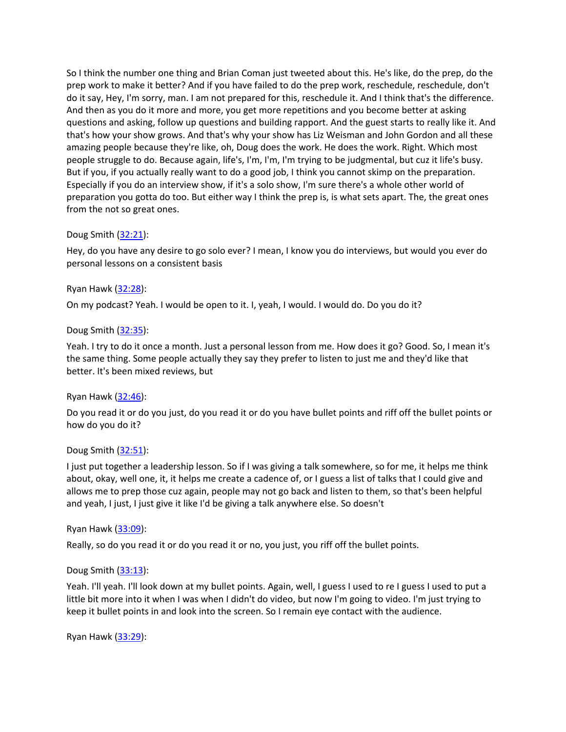So I think the number one thing and Brian Coman just tweeted about this. He's like, do the prep, do the prep work to make it better? And if you have failed to do the prep work, reschedule, reschedule, don't do it say, Hey, I'm sorry, man. I am not prepared for this, reschedule it. And I think that's the difference. And then as you do it more and more, you get more repetitions and you become better at asking questions and asking, follow up questions and building rapport. And the guest starts to really like it. And that's how your show grows. And that's why your show has Liz Weisman and John Gordon and all these amazing people because they're like, oh, Doug does the work. He does the work. Right. Which most people struggle to do. Because again, life's, I'm, I'm, I'm trying to be judgmental, but cuz it life's busy. But if you, if you actually really want to do a good job, I think you cannot skimp on the preparation. Especially if you do an interview show, if it's a solo show, I'm sure there's a whole other world of preparation you gotta do too. But either way I think the prep is, is what sets apart. The, the great ones from the not so great ones.

## Doug Smith ([32:21\)](https://www.temi.com/editor/t/QpZIoBHMDcAs0PlPb5GKH6L0Z7_Mj2D2ZsVb8f_xrTJFLO3a_Y0_PlBo5X0f-ETFdoRa2SpuMOiteVzfmzqRXL4YSJA?loadFrom=DocumentDeeplink&ts=1941.62):

Hey, do you have any desire to go solo ever? I mean, I know you do interviews, but would you ever do personal lessons on a consistent basis

## Ryan Hawk [\(32:28\)](https://www.temi.com/editor/t/QpZIoBHMDcAs0PlPb5GKH6L0Z7_Mj2D2ZsVb8f_xrTJFLO3a_Y0_PlBo5X0f-ETFdoRa2SpuMOiteVzfmzqRXL4YSJA?loadFrom=DocumentDeeplink&ts=1948.85):

On my podcast? Yeah. I would be open to it. I, yeah, I would. I would do. Do you do it?

### Doug Smith ([32:35\)](https://www.temi.com/editor/t/QpZIoBHMDcAs0PlPb5GKH6L0Z7_Mj2D2ZsVb8f_xrTJFLO3a_Y0_PlBo5X0f-ETFdoRa2SpuMOiteVzfmzqRXL4YSJA?loadFrom=DocumentDeeplink&ts=1955.22):

Yeah. I try to do it once a month. Just a personal lesson from me. How does it go? Good. So, I mean it's the same thing. Some people actually they say they prefer to listen to just me and they'd like that better. It's been mixed reviews, but

### Ryan Hawk [\(32:46\)](https://www.temi.com/editor/t/QpZIoBHMDcAs0PlPb5GKH6L0Z7_Mj2D2ZsVb8f_xrTJFLO3a_Y0_PlBo5X0f-ETFdoRa2SpuMOiteVzfmzqRXL4YSJA?loadFrom=DocumentDeeplink&ts=1966.6):

Do you read it or do you just, do you read it or do you have bullet points and riff off the bullet points or how do you do it?

### Doug Smith ([32:51\)](https://www.temi.com/editor/t/QpZIoBHMDcAs0PlPb5GKH6L0Z7_Mj2D2ZsVb8f_xrTJFLO3a_Y0_PlBo5X0f-ETFdoRa2SpuMOiteVzfmzqRXL4YSJA?loadFrom=DocumentDeeplink&ts=1971.76):

I just put together a leadership lesson. So if I was giving a talk somewhere, so for me, it helps me think about, okay, well one, it, it helps me create a cadence of, or I guess a list of talks that I could give and allows me to prep those cuz again, people may not go back and listen to them, so that's been helpful and yeah, I just, I just give it like I'd be giving a talk anywhere else. So doesn't

### Ryan Hawk [\(33:09\)](https://www.temi.com/editor/t/QpZIoBHMDcAs0PlPb5GKH6L0Z7_Mj2D2ZsVb8f_xrTJFLO3a_Y0_PlBo5X0f-ETFdoRa2SpuMOiteVzfmzqRXL4YSJA?loadFrom=DocumentDeeplink&ts=1989.95):

Really, so do you read it or do you read it or no, you just, you riff off the bullet points.

### Doug Smith ([33:13\)](https://www.temi.com/editor/t/QpZIoBHMDcAs0PlPb5GKH6L0Z7_Mj2D2ZsVb8f_xrTJFLO3a_Y0_PlBo5X0f-ETFdoRa2SpuMOiteVzfmzqRXL4YSJA?loadFrom=DocumentDeeplink&ts=1993.86):

Yeah. I'll yeah. I'll look down at my bullet points. Again, well, I guess I used to re I guess I used to put a little bit more into it when I was when I didn't do video, but now I'm going to video. I'm just trying to keep it bullet points in and look into the screen. So I remain eye contact with the audience.

Ryan Hawk [\(33:29\)](https://www.temi.com/editor/t/QpZIoBHMDcAs0PlPb5GKH6L0Z7_Mj2D2ZsVb8f_xrTJFLO3a_Y0_PlBo5X0f-ETFdoRa2SpuMOiteVzfmzqRXL4YSJA?loadFrom=DocumentDeeplink&ts=2009.9):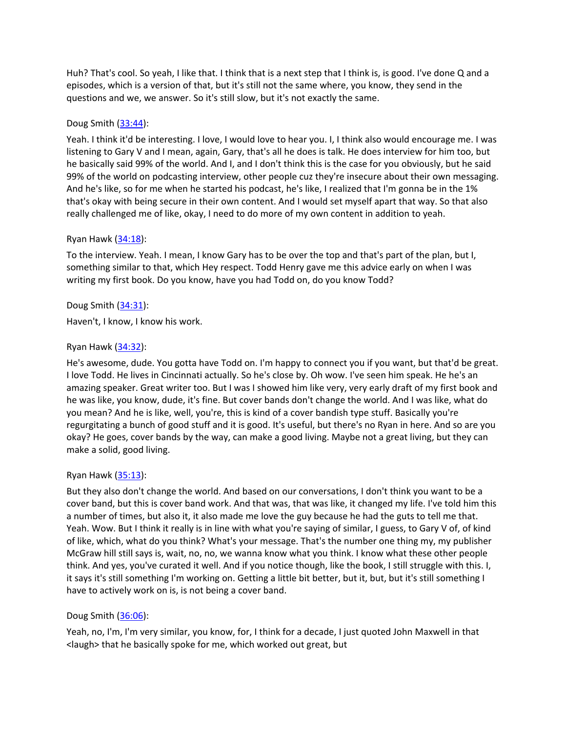Huh? That's cool. So yeah, I like that. I think that is a next step that I think is, is good. I've done Q and a episodes, which is a version of that, but it's still not the same where, you know, they send in the questions and we, we answer. So it's still slow, but it's not exactly the same.

# Doug Smith ([33:44\)](https://www.temi.com/editor/t/QpZIoBHMDcAs0PlPb5GKH6L0Z7_Mj2D2ZsVb8f_xrTJFLO3a_Y0_PlBo5X0f-ETFdoRa2SpuMOiteVzfmzqRXL4YSJA?loadFrom=DocumentDeeplink&ts=2024.72):

Yeah. I think it'd be interesting. I love, I would love to hear you. I, I think also would encourage me. I was listening to Gary V and I mean, again, Gary, that's all he does is talk. He does interview for him too, but he basically said 99% of the world. And I, and I don't think this is the case for you obviously, but he said 99% of the world on podcasting interview, other people cuz they're insecure about their own messaging. And he's like, so for me when he started his podcast, he's like, I realized that I'm gonna be in the 1% that's okay with being secure in their own content. And I would set myself apart that way. So that also really challenged me of like, okay, I need to do more of my own content in addition to yeah.

# Ryan Hawk [\(34:18\)](https://www.temi.com/editor/t/QpZIoBHMDcAs0PlPb5GKH6L0Z7_Mj2D2ZsVb8f_xrTJFLO3a_Y0_PlBo5X0f-ETFdoRa2SpuMOiteVzfmzqRXL4YSJA?loadFrom=DocumentDeeplink&ts=2058.31):

To the interview. Yeah. I mean, I know Gary has to be over the top and that's part of the plan, but I, something similar to that, which Hey respect. Todd Henry gave me this advice early on when I was writing my first book. Do you know, have you had Todd on, do you know Todd?

# Doug Smith ([34:31\)](https://www.temi.com/editor/t/QpZIoBHMDcAs0PlPb5GKH6L0Z7_Mj2D2ZsVb8f_xrTJFLO3a_Y0_PlBo5X0f-ETFdoRa2SpuMOiteVzfmzqRXL4YSJA?loadFrom=DocumentDeeplink&ts=2071.219):

Haven't, I know, I know his work.

# Ryan Hawk [\(34:32\)](https://www.temi.com/editor/t/QpZIoBHMDcAs0PlPb5GKH6L0Z7_Mj2D2ZsVb8f_xrTJFLO3a_Y0_PlBo5X0f-ETFdoRa2SpuMOiteVzfmzqRXL4YSJA?loadFrom=DocumentDeeplink&ts=2072.62):

He's awesome, dude. You gotta have Todd on. I'm happy to connect you if you want, but that'd be great. I love Todd. He lives in Cincinnati actually. So he's close by. Oh wow. I've seen him speak. He he's an amazing speaker. Great writer too. But I was I showed him like very, very early draft of my first book and he was like, you know, dude, it's fine. But cover bands don't change the world. And I was like, what do you mean? And he is like, well, you're, this is kind of a cover bandish type stuff. Basically you're regurgitating a bunch of good stuff and it is good. It's useful, but there's no Ryan in here. And so are you okay? He goes, cover bands by the way, can make a good living. Maybe not a great living, but they can make a solid, good living.

# Ryan Hawk [\(35:13\)](https://www.temi.com/editor/t/QpZIoBHMDcAs0PlPb5GKH6L0Z7_Mj2D2ZsVb8f_xrTJFLO3a_Y0_PlBo5X0f-ETFdoRa2SpuMOiteVzfmzqRXL4YSJA?loadFrom=DocumentDeeplink&ts=2113.9):

But they also don't change the world. And based on our conversations, I don't think you want to be a cover band, but this is cover band work. And that was, that was like, it changed my life. I've told him this a number of times, but also it, it also made me love the guy because he had the guts to tell me that. Yeah. Wow. But I think it really is in line with what you're saying of similar, I guess, to Gary V of, of kind of like, which, what do you think? What's your message. That's the number one thing my, my publisher McGraw hill still says is, wait, no, no, we wanna know what you think. I know what these other people think. And yes, you've curated it well. And if you notice though, like the book, I still struggle with this. I, it says it's still something I'm working on. Getting a little bit better, but it, but, but it's still something I have to actively work on is, is not being a cover band.

# Doug Smith ([36:06\)](https://www.temi.com/editor/t/QpZIoBHMDcAs0PlPb5GKH6L0Z7_Mj2D2ZsVb8f_xrTJFLO3a_Y0_PlBo5X0f-ETFdoRa2SpuMOiteVzfmzqRXL4YSJA?loadFrom=DocumentDeeplink&ts=2166.94):

Yeah, no, I'm, I'm very similar, you know, for, I think for a decade, I just quoted John Maxwell in that <laugh> that he basically spoke for me, which worked out great, but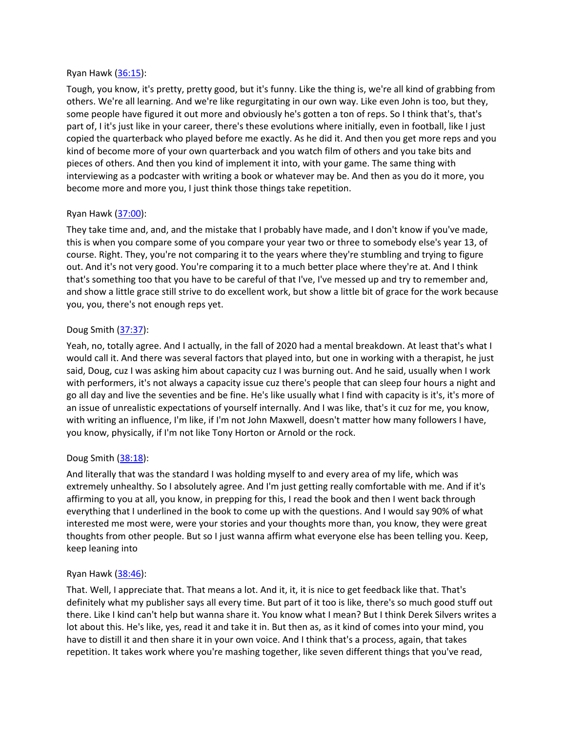## Ryan Hawk [\(36:15\)](https://www.temi.com/editor/t/QpZIoBHMDcAs0PlPb5GKH6L0Z7_Mj2D2ZsVb8f_xrTJFLO3a_Y0_PlBo5X0f-ETFdoRa2SpuMOiteVzfmzqRXL4YSJA?loadFrom=DocumentDeeplink&ts=2175.59):

Tough, you know, it's pretty, pretty good, but it's funny. Like the thing is, we're all kind of grabbing from others. We're all learning. And we're like regurgitating in our own way. Like even John is too, but they, some people have figured it out more and obviously he's gotten a ton of reps. So I think that's, that's part of, I it's just like in your career, there's these evolutions where initially, even in football, like I just copied the quarterback who played before me exactly. As he did it. And then you get more reps and you kind of become more of your own quarterback and you watch film of others and you take bits and pieces of others. And then you kind of implement it into, with your game. The same thing with interviewing as a podcaster with writing a book or whatever may be. And then as you do it more, you become more and more you, I just think those things take repetition.

# Ryan Hawk [\(37:00\)](https://www.temi.com/editor/t/QpZIoBHMDcAs0PlPb5GKH6L0Z7_Mj2D2ZsVb8f_xrTJFLO3a_Y0_PlBo5X0f-ETFdoRa2SpuMOiteVzfmzqRXL4YSJA?loadFrom=DocumentDeeplink&ts=2220.68):

They take time and, and, and the mistake that I probably have made, and I don't know if you've made, this is when you compare some of you compare your year two or three to somebody else's year 13, of course. Right. They, you're not comparing it to the years where they're stumbling and trying to figure out. And it's not very good. You're comparing it to a much better place where they're at. And I think that's something too that you have to be careful of that I've, I've messed up and try to remember and, and show a little grace still strive to do excellent work, but show a little bit of grace for the work because you, you, there's not enough reps yet.

# Doug Smith ([37:37\)](https://www.temi.com/editor/t/QpZIoBHMDcAs0PlPb5GKH6L0Z7_Mj2D2ZsVb8f_xrTJFLO3a_Y0_PlBo5X0f-ETFdoRa2SpuMOiteVzfmzqRXL4YSJA?loadFrom=DocumentDeeplink&ts=2257.489):

Yeah, no, totally agree. And I actually, in the fall of 2020 had a mental breakdown. At least that's what I would call it. And there was several factors that played into, but one in working with a therapist, he just said, Doug, cuz I was asking him about capacity cuz I was burning out. And he said, usually when I work with performers, it's not always a capacity issue cuz there's people that can sleep four hours a night and go all day and live the seventies and be fine. He's like usually what I find with capacity is it's, it's more of an issue of unrealistic expectations of yourself internally. And I was like, that's it cuz for me, you know, with writing an influence, I'm like, if I'm not John Maxwell, doesn't matter how many followers I have, you know, physically, if I'm not like Tony Horton or Arnold or the rock.

# Doug Smith ([38:18\)](https://www.temi.com/editor/t/QpZIoBHMDcAs0PlPb5GKH6L0Z7_Mj2D2ZsVb8f_xrTJFLO3a_Y0_PlBo5X0f-ETFdoRa2SpuMOiteVzfmzqRXL4YSJA?loadFrom=DocumentDeeplink&ts=2298.1):

And literally that was the standard I was holding myself to and every area of my life, which was extremely unhealthy. So I absolutely agree. And I'm just getting really comfortable with me. And if it's affirming to you at all, you know, in prepping for this, I read the book and then I went back through everything that I underlined in the book to come up with the questions. And I would say 90% of what interested me most were, were your stories and your thoughts more than, you know, they were great thoughts from other people. But so I just wanna affirm what everyone else has been telling you. Keep, keep leaning into

# Ryan Hawk [\(38:46\)](https://www.temi.com/editor/t/QpZIoBHMDcAs0PlPb5GKH6L0Z7_Mj2D2ZsVb8f_xrTJFLO3a_Y0_PlBo5X0f-ETFdoRa2SpuMOiteVzfmzqRXL4YSJA?loadFrom=DocumentDeeplink&ts=2326.04):

That. Well, I appreciate that. That means a lot. And it, it, it is nice to get feedback like that. That's definitely what my publisher says all every time. But part of it too is like, there's so much good stuff out there. Like I kind can't help but wanna share it. You know what I mean? But I think Derek Silvers writes a lot about this. He's like, yes, read it and take it in. But then as, as it kind of comes into your mind, you have to distill it and then share it in your own voice. And I think that's a process, again, that takes repetition. It takes work where you're mashing together, like seven different things that you've read,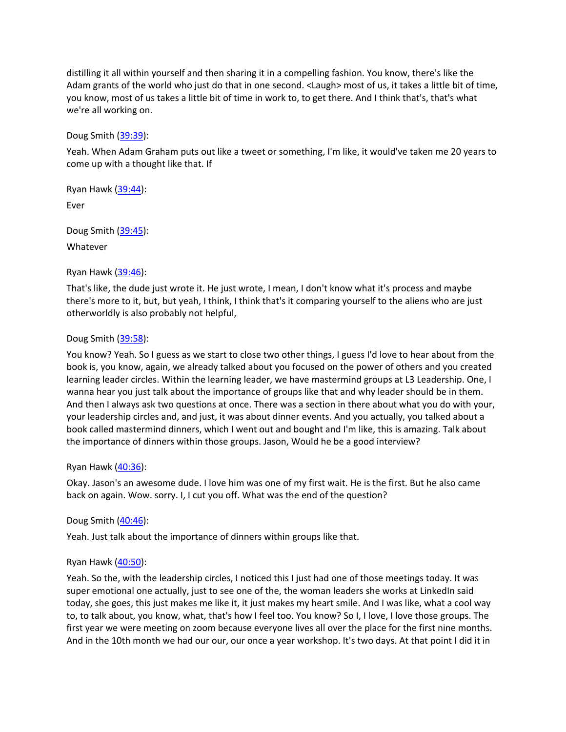distilling it all within yourself and then sharing it in a compelling fashion. You know, there's like the Adam grants of the world who just do that in one second. <Laugh> most of us, it takes a little bit of time, you know, most of us takes a little bit of time in work to, to get there. And I think that's, that's what we're all working on.

Doug Smith ([39:39\)](https://www.temi.com/editor/t/QpZIoBHMDcAs0PlPb5GKH6L0Z7_Mj2D2ZsVb8f_xrTJFLO3a_Y0_PlBo5X0f-ETFdoRa2SpuMOiteVzfmzqRXL4YSJA?loadFrom=DocumentDeeplink&ts=2379.08):

Yeah. When Adam Graham puts out like a tweet or something, I'm like, it would've taken me 20 years to come up with a thought like that. If

Ryan Hawk [\(39:44\)](https://www.temi.com/editor/t/QpZIoBHMDcAs0PlPb5GKH6L0Z7_Mj2D2ZsVb8f_xrTJFLO3a_Y0_PlBo5X0f-ETFdoRa2SpuMOiteVzfmzqRXL4YSJA?loadFrom=DocumentDeeplink&ts=2384.489):

Ever

Doug Smith ([39:45\)](https://www.temi.com/editor/t/QpZIoBHMDcAs0PlPb5GKH6L0Z7_Mj2D2ZsVb8f_xrTJFLO3a_Y0_PlBo5X0f-ETFdoRa2SpuMOiteVzfmzqRXL4YSJA?loadFrom=DocumentDeeplink&ts=2385.61):

Whatever

## Ryan Hawk [\(39:46\)](https://www.temi.com/editor/t/QpZIoBHMDcAs0PlPb5GKH6L0Z7_Mj2D2ZsVb8f_xrTJFLO3a_Y0_PlBo5X0f-ETFdoRa2SpuMOiteVzfmzqRXL4YSJA?loadFrom=DocumentDeeplink&ts=2386.61):

That's like, the dude just wrote it. He just wrote, I mean, I don't know what it's process and maybe there's more to it, but, but yeah, I think, I think that's it comparing yourself to the aliens who are just otherworldly is also probably not helpful,

## Doug Smith ([39:58\)](https://www.temi.com/editor/t/QpZIoBHMDcAs0PlPb5GKH6L0Z7_Mj2D2ZsVb8f_xrTJFLO3a_Y0_PlBo5X0f-ETFdoRa2SpuMOiteVzfmzqRXL4YSJA?loadFrom=DocumentDeeplink&ts=2398.86):

You know? Yeah. So I guess as we start to close two other things, I guess I'd love to hear about from the book is, you know, again, we already talked about you focused on the power of others and you created learning leader circles. Within the learning leader, we have mastermind groups at L3 Leadership. One, I wanna hear you just talk about the importance of groups like that and why leader should be in them. And then I always ask two questions at once. There was a section in there about what you do with your, your leadership circles and, and just, it was about dinner events. And you actually, you talked about a book called mastermind dinners, which I went out and bought and I'm like, this is amazing. Talk about the importance of dinners within those groups. Jason, Would he be a good interview?

### Ryan Hawk [\(40:36\)](https://www.temi.com/editor/t/QpZIoBHMDcAs0PlPb5GKH6L0Z7_Mj2D2ZsVb8f_xrTJFLO3a_Y0_PlBo5X0f-ETFdoRa2SpuMOiteVzfmzqRXL4YSJA?loadFrom=DocumentDeeplink&ts=2436.7):

Okay. Jason's an awesome dude. I love him was one of my first wait. He is the first. But he also came back on again. Wow. sorry. I, I cut you off. What was the end of the question?

# Doug Smith ([40:46\)](https://www.temi.com/editor/t/QpZIoBHMDcAs0PlPb5GKH6L0Z7_Mj2D2ZsVb8f_xrTJFLO3a_Y0_PlBo5X0f-ETFdoRa2SpuMOiteVzfmzqRXL4YSJA?loadFrom=DocumentDeeplink&ts=2446.48):

Yeah. Just talk about the importance of dinners within groups like that.

# Ryan Hawk [\(40:50\)](https://www.temi.com/editor/t/QpZIoBHMDcAs0PlPb5GKH6L0Z7_Mj2D2ZsVb8f_xrTJFLO3a_Y0_PlBo5X0f-ETFdoRa2SpuMOiteVzfmzqRXL4YSJA?loadFrom=DocumentDeeplink&ts=2450.239):

Yeah. So the, with the leadership circles, I noticed this I just had one of those meetings today. It was super emotional one actually, just to see one of the, the woman leaders she works at LinkedIn said today, she goes, this just makes me like it, it just makes my heart smile. And I was like, what a cool way to, to talk about, you know, what, that's how I feel too. You know? So I, I love, I love those groups. The first year we were meeting on zoom because everyone lives all over the place for the first nine months. And in the 10th month we had our our, our once a year workshop. It's two days. At that point I did it in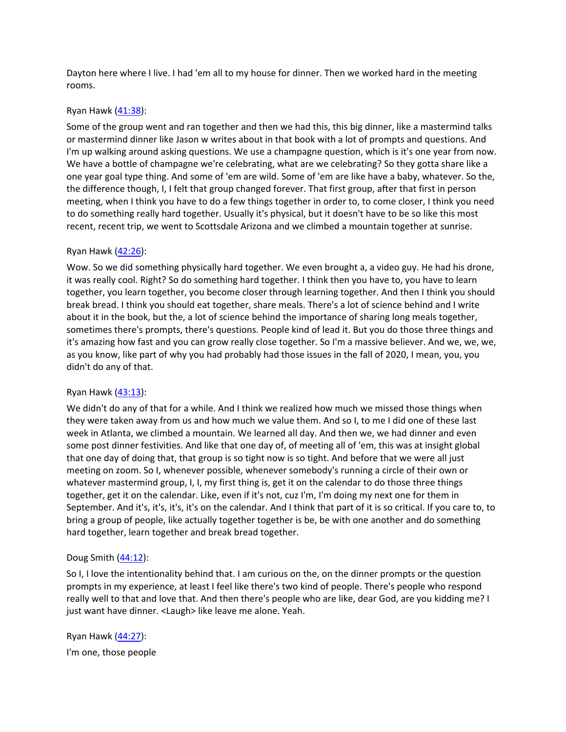Dayton here where I live. I had 'em all to my house for dinner. Then we worked hard in the meeting rooms.

## Ryan Hawk [\(41:38\)](https://www.temi.com/editor/t/QpZIoBHMDcAs0PlPb5GKH6L0Z7_Mj2D2ZsVb8f_xrTJFLO3a_Y0_PlBo5X0f-ETFdoRa2SpuMOiteVzfmzqRXL4YSJA?loadFrom=DocumentDeeplink&ts=2498.521):

Some of the group went and ran together and then we had this, this big dinner, like a mastermind talks or mastermind dinner like Jason w writes about in that book with a lot of prompts and questions. And I'm up walking around asking questions. We use a champagne question, which is it's one year from now. We have a bottle of champagne we're celebrating, what are we celebrating? So they gotta share like a one year goal type thing. And some of 'em are wild. Some of 'em are like have a baby, whatever. So the, the difference though, I, I felt that group changed forever. That first group, after that first in person meeting, when I think you have to do a few things together in order to, to come closer, I think you need to do something really hard together. Usually it's physical, but it doesn't have to be so like this most recent, recent trip, we went to Scottsdale Arizona and we climbed a mountain together at sunrise.

## Ryan Hawk [\(42:26\)](https://www.temi.com/editor/t/QpZIoBHMDcAs0PlPb5GKH6L0Z7_Mj2D2ZsVb8f_xrTJFLO3a_Y0_PlBo5X0f-ETFdoRa2SpuMOiteVzfmzqRXL4YSJA?loadFrom=DocumentDeeplink&ts=2546.68):

Wow. So we did something physically hard together. We even brought a, a video guy. He had his drone, it was really cool. Right? So do something hard together. I think then you have to, you have to learn together, you learn together, you become closer through learning together. And then I think you should break bread. I think you should eat together, share meals. There's a lot of science behind and I write about it in the book, but the, a lot of science behind the importance of sharing long meals together, sometimes there's prompts, there's questions. People kind of lead it. But you do those three things and it's amazing how fast and you can grow really close together. So I'm a massive believer. And we, we, we, as you know, like part of why you had probably had those issues in the fall of 2020, I mean, you, you didn't do any of that.

### Ryan Hawk [\(43:13\)](https://www.temi.com/editor/t/QpZIoBHMDcAs0PlPb5GKH6L0Z7_Mj2D2ZsVb8f_xrTJFLO3a_Y0_PlBo5X0f-ETFdoRa2SpuMOiteVzfmzqRXL4YSJA?loadFrom=DocumentDeeplink&ts=2593.09):

We didn't do any of that for a while. And I think we realized how much we missed those things when they were taken away from us and how much we value them. And so I, to me I did one of these last week in Atlanta, we climbed a mountain. We learned all day. And then we, we had dinner and even some post dinner festivities. And like that one day of, of meeting all of 'em, this was at insight global that one day of doing that, that group is so tight now is so tight. And before that we were all just meeting on zoom. So I, whenever possible, whenever somebody's running a circle of their own or whatever mastermind group, I, I, my first thing is, get it on the calendar to do those three things together, get it on the calendar. Like, even if it's not, cuz I'm, I'm doing my next one for them in September. And it's, it's, it's, it's on the calendar. And I think that part of it is so critical. If you care to, to bring a group of people, like actually together together is be, be with one another and do something hard together, learn together and break bread together.

### Doug Smith ([44:12\)](https://www.temi.com/editor/t/QpZIoBHMDcAs0PlPb5GKH6L0Z7_Mj2D2ZsVb8f_xrTJFLO3a_Y0_PlBo5X0f-ETFdoRa2SpuMOiteVzfmzqRXL4YSJA?loadFrom=DocumentDeeplink&ts=2652.86):

So I, I love the intentionality behind that. I am curious on the, on the dinner prompts or the question prompts in my experience, at least I feel like there's two kind of people. There's people who respond really well to that and love that. And then there's people who are like, dear God, are you kidding me? I just want have dinner. <Laugh> like leave me alone. Yeah.

Ryan Hawk [\(44:27\)](https://www.temi.com/editor/t/QpZIoBHMDcAs0PlPb5GKH6L0Z7_Mj2D2ZsVb8f_xrTJFLO3a_Y0_PlBo5X0f-ETFdoRa2SpuMOiteVzfmzqRXL4YSJA?loadFrom=DocumentDeeplink&ts=2667.81): I'm one, those people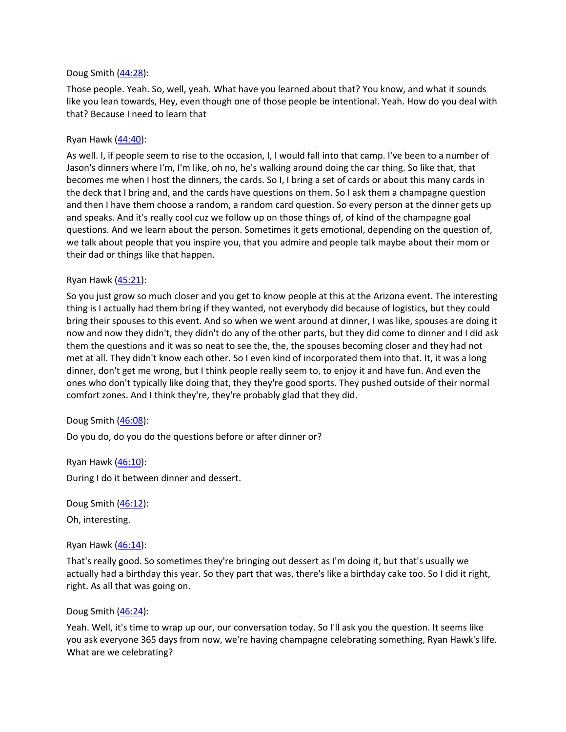## Doug Smith ([44:28\)](https://www.temi.com/editor/t/QpZIoBHMDcAs0PlPb5GKH6L0Z7_Mj2D2ZsVb8f_xrTJFLO3a_Y0_PlBo5X0f-ETFdoRa2SpuMOiteVzfmzqRXL4YSJA?loadFrom=DocumentDeeplink&ts=2668.95):

Those people. Yeah. So, well, yeah. What have you learned about that? You know, and what it sounds like you lean towards, Hey, even though one of those people be intentional. Yeah. How do you deal with that? Because I need to learn that

## Ryan Hawk [\(44:40\)](https://www.temi.com/editor/t/QpZIoBHMDcAs0PlPb5GKH6L0Z7_Mj2D2ZsVb8f_xrTJFLO3a_Y0_PlBo5X0f-ETFdoRa2SpuMOiteVzfmzqRXL4YSJA?loadFrom=DocumentDeeplink&ts=2680.36):

As well. I, if people seem to rise to the occasion, I, I would fall into that camp. I've been to a number of Jason's dinners where I'm, I'm like, oh no, he's walking around doing the car thing. So like that, that becomes me when I host the dinners, the cards. So I, I bring a set of cards or about this many cards in the deck that I bring and, and the cards have questions on them. So I ask them a champagne question and then I have them choose a random, a random card question. So every person at the dinner gets up and speaks. And it's really cool cuz we follow up on those things of, of kind of the champagne goal questions. And we learn about the person. Sometimes it gets emotional, depending on the question of, we talk about people that you inspire you, that you admire and people talk maybe about their mom or their dad or things like that happen.

## Ryan Hawk [\(45:21\)](https://www.temi.com/editor/t/QpZIoBHMDcAs0PlPb5GKH6L0Z7_Mj2D2ZsVb8f_xrTJFLO3a_Y0_PlBo5X0f-ETFdoRa2SpuMOiteVzfmzqRXL4YSJA?loadFrom=DocumentDeeplink&ts=2721.4):

So you just grow so much closer and you get to know people at this at the Arizona event. The interesting thing is I actually had them bring if they wanted, not everybody did because of logistics, but they could bring their spouses to this event. And so when we went around at dinner, I was like, spouses are doing it now and now they didn't, they didn't do any of the other parts, but they did come to dinner and I did ask them the questions and it was so neat to see the, the, the spouses becoming closer and they had not met at all. They didn't know each other. So I even kind of incorporated them into that. It, it was a long dinner, don't get me wrong, but I think people really seem to, to enjoy it and have fun. And even the ones who don't typically like doing that, they they're good sports. They pushed outside of their normal comfort zones. And I think they're, they're probably glad that they did.

### Doug Smith ([46:08\)](https://www.temi.com/editor/t/QpZIoBHMDcAs0PlPb5GKH6L0Z7_Mj2D2ZsVb8f_xrTJFLO3a_Y0_PlBo5X0f-ETFdoRa2SpuMOiteVzfmzqRXL4YSJA?loadFrom=DocumentDeeplink&ts=2768.29):

Do you do, do you do the questions before or after dinner or?

Ryan Hawk [\(46:10\)](https://www.temi.com/editor/t/QpZIoBHMDcAs0PlPb5GKH6L0Z7_Mj2D2ZsVb8f_xrTJFLO3a_Y0_PlBo5X0f-ETFdoRa2SpuMOiteVzfmzqRXL4YSJA?loadFrom=DocumentDeeplink&ts=2770.55): During I do it between dinner and dessert.

Doug Smith ([46:12\)](https://www.temi.com/editor/t/QpZIoBHMDcAs0PlPb5GKH6L0Z7_Mj2D2ZsVb8f_xrTJFLO3a_Y0_PlBo5X0f-ETFdoRa2SpuMOiteVzfmzqRXL4YSJA?loadFrom=DocumentDeeplink&ts=2772.89):

Oh, interesting.

### Ryan Hawk [\(46:14\)](https://www.temi.com/editor/t/QpZIoBHMDcAs0PlPb5GKH6L0Z7_Mj2D2ZsVb8f_xrTJFLO3a_Y0_PlBo5X0f-ETFdoRa2SpuMOiteVzfmzqRXL4YSJA?loadFrom=DocumentDeeplink&ts=2774.07):

That's really good. So sometimes they're bringing out dessert as I'm doing it, but that's usually we actually had a birthday this year. So they part that was, there's like a birthday cake too. So I did it right, right. As all that was going on.

### Doug Smith ([46:24\)](https://www.temi.com/editor/t/QpZIoBHMDcAs0PlPb5GKH6L0Z7_Mj2D2ZsVb8f_xrTJFLO3a_Y0_PlBo5X0f-ETFdoRa2SpuMOiteVzfmzqRXL4YSJA?loadFrom=DocumentDeeplink&ts=2784.41):

Yeah. Well, it's time to wrap up our, our conversation today. So I'll ask you the question. It seems like you ask everyone 365 days from now, we're having champagne celebrating something, Ryan Hawk's life. What are we celebrating?